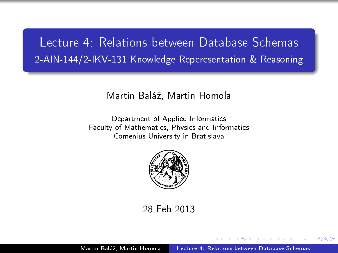### Lecture 4: Relations between Database Schemas 2-AIN-144/2-IKV-131 Knowledge Reperesentation & Reasoning

#### Martin Baláº, Martin Homola

Department of Applied Informatics Faculty of Mathematics, Physics and Informatics Comenius University in Bratislava



<span id="page-0-0"></span>28 Feb 2013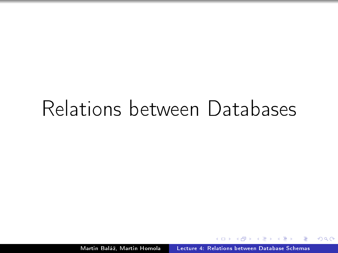### Relations between Databases

Martin Baláž, Martin Homola | [Lecture 4: Relations between Database Schemas](#page-0-0)

 $QQ$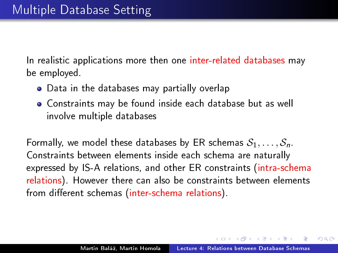In realistic applications more then one inter-related databases may be employed.

- Data in the databases may partially overlap
- Constraints may be found inside each database but as well involve multiple databases

Formally, we model these databases by ER schemas  $S_1, \ldots, S_n$ . Constraints between elements inside each schema are naturally expressed by IS-A relations, and other ER constraints (intra-schema relations). However there can also be constraints between elements from different schemas (inter-schema relations).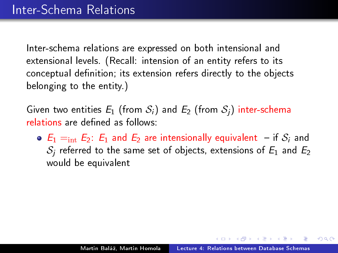Given two entities  $E_1$  (from  $S_i$ ) and  $E_2$  (from  $S_i$ ) inter-schema relations are defined as follows:

 $\bullet$   $E_1 =_{int} E_2$ :  $E_1$  and  $E_2$  are intensionally equivalent  $\overline{\phantom{a}}$  if  $\overline{\phantom{a}}$  and  $S_i$  referred to the same set of objects, extensions of  $E_1$  and  $E_2$ would be equivalent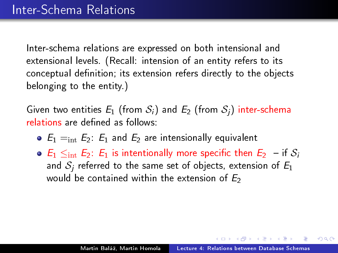Given two entities  $E_1$  (from  $S_i$ ) and  $E_2$  (from  $S_i$ ) inter-schema relations are defined as follows:

- $\bullet$   $E_1 =_{int} E_2$ :  $E_1$  and  $E_2$  are intensionally equivalent
- $\bullet$   $E_1 \leq_{\text{int}} E_2$ :  $E_1$  is intentionally more specific then  $E_2$  if  $S_i$ and  $S_i$  referred to the same set of objects, extension of  $E_1$ would be contained within the extension of  $E_2$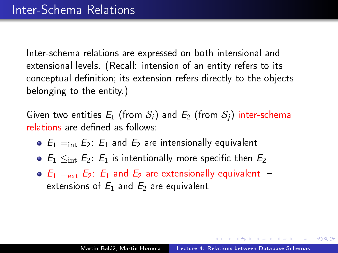Given two entities  $E_1$  (from  $S_i$ ) and  $E_2$  (from  $S_i$ ) inter-schema relations are defined as follows:

- $\bullet$   $E_1 =_{int} E_2$ :  $E_1$  and  $E_2$  are intensionally equivalent
- $E_1 \leq_{\text{int}} E_2$ :  $E_1$  is intentionally more specific then  $E_2$
- $\bullet$   $E_1 = E_2$ :  $E_1$  and  $E_2$  are extensionally equivalent  $$ extensions of  $E_1$  and  $E_2$  are equivalent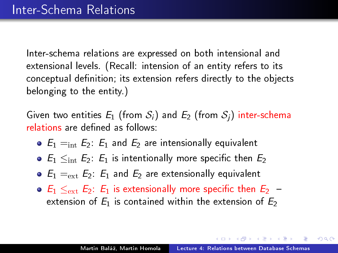Given two entities  $E_1$  (from  $S_i$ ) and  $E_2$  (from  $S_i$ ) inter-schema relations are defined as follows:

- $\bullet$   $E_1 =_{\text{int}} E_2$ :  $E_1$  and  $E_2$  are intensionally equivalent
- $\bullet$   $E_1 \leq_{\text{int}} E_2$ :  $E_1$  is intentionally more specific then  $E_2$
- $\bullet$   $E_1 =_{ext} E_2$ :  $E_1$  and  $E_2$  are extensionally equivalent
- $\bullet$   $E_1 \leq_{\text{ext}} E_2$ :  $E_1$  is extensionally more specific then  $E_2$  extension of  $E_1$  is contained within the extension of  $E_2$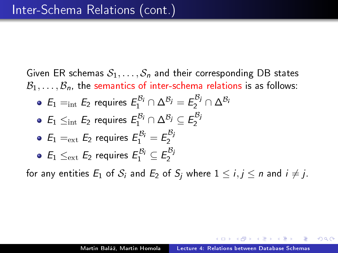Given ER schemas  $S_1, \ldots, S_n$  and their corresponding DB states  $\mathcal{B}_1,\ldots,\mathcal{B}_n$ , the semantics of inter-schema relations is as follows:  $E_1 =_{\text{int}} E_2$  requires  $E_1^{\mathcal{B}_i} \cap \Delta^{\mathcal{B}_j} = E_2^{\mathcal{B}_j} \cap \Delta^{\mathcal{B}_j}$  $E_1 \leq_{\text{int}} E_2$  requires  $E_1^{\mathcal{B}_j} \cap \Delta^{\mathcal{B}_j} \subseteq E_2^{\mathcal{B}_j}$ 2  $E_1 =_{ext} E_2$  requires  $E_1^{\mathcal{B}_i} = E_2^{\mathcal{B}_j}$ 2  $E_1 \leq_{\text{ext}} E_2$  requires  $E_1^{\mathcal{B}_i} \subseteq E_2^{\mathcal{B}_j}$ 2

for any entities  $E_1$  of  $S_i$  and  $E_2$  of  $S_i$  where  $1 \le i, j \le n$  and  $i \ne j$ .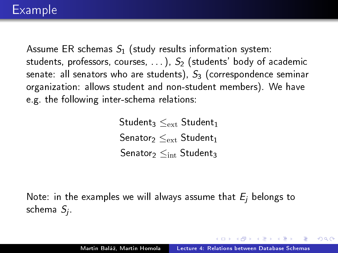Assume ER schemas  $S_1$  (study results information system: students, professors, courses,  $\ldots$ ),  $S_2$  (students' body of academic senate: all senators who are students),  $S_3$  (correspondence seminar organization: allows student and non-student members). We have e.g. the following inter-schema relations:

> Student $_3<_{\rm ext}$  Student $_1$ Senator<sub>2</sub>  $\leq_{\text{ext}}$  Student<sub>1</sub> Senator<sub>2</sub>  $\leq_{\rm int}$  Student<sub>3</sub>

Note: in the examples we will always assume that  $E_i$  belongs to schema  $\mathit{S}_{j}$ .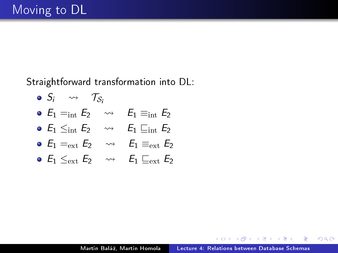Straightforward transformation into DL:

 $\bullet$  S<sub>i</sub>  $\rightsquigarrow$  T<sub>S</sub>. •  $E_1 =_{int} E_2 \longrightarrow E_1 \equiv_{int} E_2$ •  $E_1 \leq_{\text{int}} E_2 \longrightarrow E_1 \sqsubseteq_{\text{int}} E_2$ •  $E_1 =_{ext} E_2 \longrightarrow E_1 \equiv_{ext} E_2$ •  $E_1 \leq_{\text{ext}} E_2 \longrightarrow E_1 \sqsubset_{\text{ext}} E_2$ 

 $2990$ 

**TELES** ∍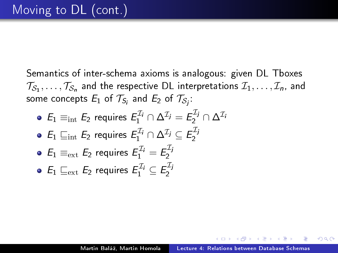Semantics of inter-schema axioms is analogous: given DL Tboxes  $\mathcal{T}_{\mathcal{S}_1},\ldots,\mathcal{T}_{\mathcal{S}_n}$  and the respective DL interpretations  $\mathcal{I}_1,\ldots,\mathcal{I}_n$ , and some concepts  $E_1$  of  $\mathcal{T}_{S_i}$  and  $E_2$  of  $\mathcal{T}_{S_j}$ :

- $E_1 \equiv_{\rm int} E_2$  requires  $E_1^{\mathcal{I}_i} \cap \Delta^{\mathcal{I}_j} = E_2^{\mathcal{I}_j} \cap \Delta^{\mathcal{I}_i}$
- $E_1 \sqsubseteq_{\text{int}} E_2$  requires  $E_1^{\mathcal{I}_j} \cap \Delta^{\mathcal{I}_j} \subseteq E_2^{\mathcal{I}_j}$ 2

• 
$$
E_1 \equiv_{ext} E_2
$$
 requires  $E_1^{\mathcal{I}_i} = E_2^{\mathcal{I}_j}$ 

• 
$$
E_1 \sqsubseteq_{ext} E_2
$$
 requires  $E_1^{\mathcal{I}_i} \subseteq E_2^{\mathcal{I}_j}$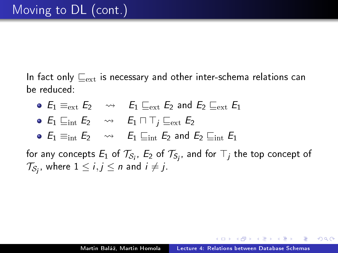In fact only  $\Box_{\text{ext}}$  is necessary and other inter-schema relations can be reduced:

•  $E_1 \equiv_{\text{ext}} E_2 \longrightarrow E_1 \sqsubseteq_{\text{ext}} E_2$  and  $E_2 \sqsubseteq_{\text{ext}} E_1$ •  $E_1 \sqsubseteq_{\text{int}} E_2 \longrightarrow E_1 \sqcap \top_i \sqsubseteq_{\text{ext}} E_2$ •  $E_1 \equiv_{\text{int}} E_2 \longrightarrow E_1 \sqsubseteq_{\text{int}} E_2$  and  $E_2 \sqsubseteq_{\text{int}} E_1$ 

for any concepts  $E_1$  of  $\mathcal{T}_{\mathcal{S}_i}$ ,  $E_2$  of  $\mathcal{T}_{\mathcal{S}_j}$ , and for  $\top_j$  the top concept of  $\mathcal{T}_{\mathcal{S}_{\bm j}},$  where  $1\leq i,j\leq n$  and  $i\neq j.$ 

 $\Omega$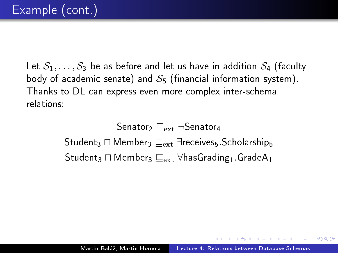Let  $S_1, \ldots, S_3$  be as before and let us have in addition  $S_4$  (faculty body of academic senate) and  $S_5$  (financial information system). Thanks to DL can express even more complex inter-schema relations:

> Senator<sub>2</sub>  $\sqsubset_{\text{ext}}$   $\neg$ Senator<sub>4</sub>  $\mathsf{Student}_3 \sqcap \mathsf{Member}_3 \sqsubset_{\mathsf{ext}} \exists \mathsf{receives}_5.\mathsf{Scholarships}$ Student3  $\Box$  Member3  $\sqsubseteq_{ext}$  ∀hasGrading1.GradeA1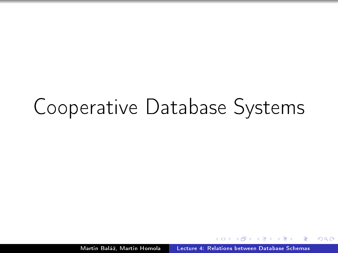# Cooperative Database Systems

Martin Baláž, Martin Homola | [Lecture 4: Relations between Database Schemas](#page-0-0)

 $QQ$ 

Ξ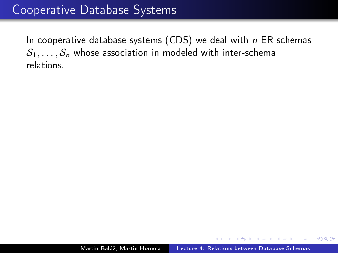In cooperative database systems (CDS) we deal with  $n$  ER schemas  $S_1, \ldots, S_n$  whose association in modeled with inter-schema relations.

 $QQ$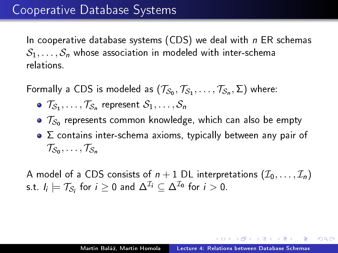In cooperative database systems (CDS) we deal with  $n$  ER schemas  $S_1, \ldots, S_n$  whose association in modeled with inter-schema relations.

Formally a CDS is modeled as  $(\mathcal{T}_{\mathcal{S}_0},\mathcal{T}_{\mathcal{S}_1},\ldots,\mathcal{T}_{\mathcal{S}_n},\Sigma)$  where:

- $\mathcal{T}_{\mathcal{S}_1}, \ldots, \mathcal{T}_{\mathcal{S}_n}$  represent  $\mathcal{S}_1, \ldots, \mathcal{S}_n$
- $\mathcal{T}_{\mathcal{S}_0}$  represents common knowledge, which can also be empty
- $\bullet$   $\Sigma$  contains inter-schema axioms, typically between any pair of  $\mathcal{T}_{\mathcal{S}_0}, \ldots, \mathcal{T}_{\mathcal{S}_n}$

A model of a CDS consists of  $n+1$  DL interpretations  $(\mathcal{I}_0,\ldots,\mathcal{I}_n)$ s.t.  $I_i \models \mathcal{T}_{\mathcal{S}_i}$  for  $i \geq 0$  and  $\Delta^{\mathcal{I}_i} \subseteq \Delta^{\mathcal{I}_0}$  for  $i > 0$ .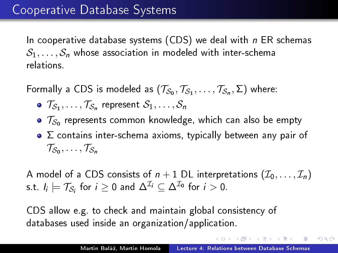In cooperative database systems (CDS) we deal with  $n$  ER schemas  $S_1, \ldots, S_n$  whose association in modeled with inter-schema relations.

Formally a CDS is modeled as  $(\mathcal{T}_{\mathcal{S}_0},\mathcal{T}_{\mathcal{S}_1},\ldots,\mathcal{T}_{\mathcal{S}_n},\Sigma)$  where:

- $\mathcal{T}_{\mathcal{S}_1}, \ldots, \mathcal{T}_{\mathcal{S}_n}$  represent  $\mathcal{S}_1, \ldots, \mathcal{S}_n$
- $\mathcal{T}_{\mathcal{S}_0}$  represents common knowledge, which can also be empty
- $\bullet$   $\Sigma$  contains inter-schema axioms, typically between any pair of  $\mathcal{T}_{\mathcal{S}_0}, \ldots, \mathcal{T}_{\mathcal{S}_n}$

A model of a CDS consists of  $n+1$  DL interpretations  $(\mathcal{I}_0,\ldots,\mathcal{I}_n)$ s.t.  $I_i \models \mathcal{T}_{\mathcal{S}_i}$  for  $i \geq 0$  and  $\Delta^{\mathcal{I}_i} \subseteq \Delta^{\mathcal{I}_0}$  for  $i > 0$ .

CDS allow e.g. to check and maintain global consistency of databases used inside an organization/application.

 $QQ$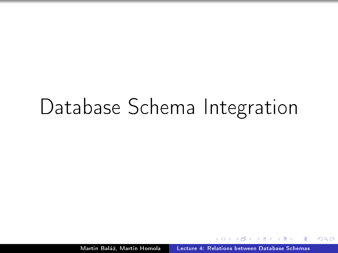# Database Schema Integration

Martin Baláž, Martin Homola [Lecture 4: Relations between Database Schemas](#page-0-0)

 $QQ$ 

э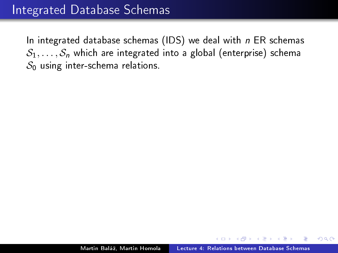In integrated database schemas (IDS) we deal with  $n$  ER schemas  $S_1, \ldots, S_n$  which are integrated into a global (enterprise) schema  $\mathcal{S}_0$  using inter-schema relations.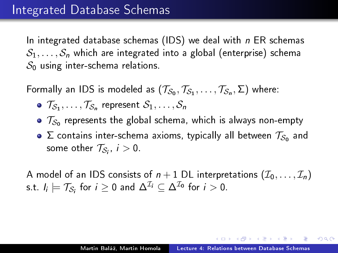In integrated database schemas (IDS) we deal with  $n$  ER schemas  $S_1, \ldots, S_n$  which are integrated into a global (enterprise) schema  $\mathcal{S}_0$  using inter-schema relations.

Formally an IDS is modeled as  $(\mathcal{T}_{\mathcal{S}_0},\mathcal{T}_{\mathcal{S}_1},\ldots,\mathcal{T}_{\mathcal{S}_n},\Sigma)$  where:

- $\mathcal{T}_{\mathcal{S}_1}, \ldots, \mathcal{T}_{\mathcal{S}_n}$  represent  $\mathcal{S}_1, \ldots, \mathcal{S}_n$
- $\mathcal{T}_{\mathcal{S}_0}$  represents the global schema, which is always non-empty
- $\Sigma$  contains inter-schema axioms, typically all between  $\mathcal{T}_{\mathcal{S}_0}$  and some other  $\mathcal{T}_{\mathcal{S}_i},\ i>0$  .

A model of an IDS consists of  $n+1$  DL interpretations  $(\mathcal{I}_0,\ldots,\mathcal{I}_n)$ s.t.  $I_i \models \mathcal{T}_{\mathcal{S}_i}$  for  $i \geq 0$  and  $\Delta^{\mathcal{I}_i} \subseteq \Delta^{\mathcal{I}_0}$  for  $i > 0$ .

 $QQ$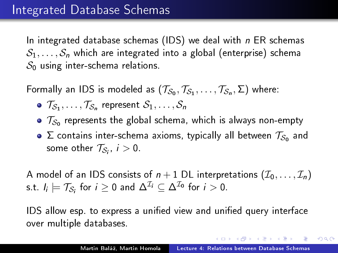In integrated database schemas (IDS) we deal with  $n$  ER schemas  $S_1, \ldots, S_n$  which are integrated into a global (enterprise) schema  $\mathcal{S}_0$  using inter-schema relations.

Formally an IDS is modeled as  $(\mathcal{T}_{\mathcal{S}_0},\mathcal{T}_{\mathcal{S}_1},\ldots,\mathcal{T}_{\mathcal{S}_n},\Sigma)$  where:

- $\mathcal{T}_{\mathcal{S}_1}, \ldots, \mathcal{T}_{\mathcal{S}_n}$  represent  $\mathcal{S}_1, \ldots, \mathcal{S}_n$
- $\mathcal{T}_{\mathcal{S}_0}$  represents the global schema, which is always non-empty
- $\Sigma$  contains inter-schema axioms, typically all between  $\mathcal{T}_{\mathcal{S}_0}$  and some other  $\mathcal{T}_{\mathcal{S}_i},\ i>0$  .

A model of an IDS consists of  $n + 1$  DL interpretations  $(\mathcal{I}_0, \ldots, \mathcal{I}_n)$ s.t.  $I_i \models \mathcal{T}_{\mathcal{S}_i}$  for  $i \geq 0$  and  $\Delta^{\mathcal{I}_i} \subseteq \Delta^{\mathcal{I}_0}$  for  $i > 0$ .

IDS allow esp. to express a unified view and unified query interface over multiple databases.

 $QQ$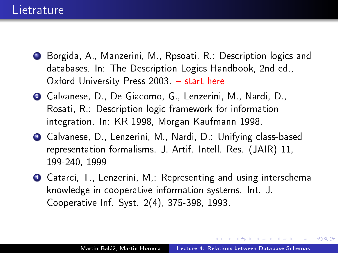- <sup>1</sup> Borgida, A., Manzerini, M., Rpsoati, R.: Description logics and databases. In: The Description Logics Handbook, 2nd ed., Oxford University Press  $2003. -$  start here
- <sup>2</sup> Calvanese, D., De Giacomo, G., Lenzerini, M., Nardi, D., Rosati, R.: Description logic framework for information integration. In: KR 1998, Morgan Kaufmann 1998.
- <sup>3</sup> Calvanese, D., Lenzerini, M., Nardi, D.: Unifying class-based representation formalisms. J. Artif. Intell. Res. (JAIR) 11, 199-240, 1999
- <sup>4</sup> Catarci, T., Lenzerini, M,: Representing and using interschema knowledge in cooperative information systems. Int. J. Cooperative Inf. Syst. 2(4), 375-398, 1993.

 $\Omega$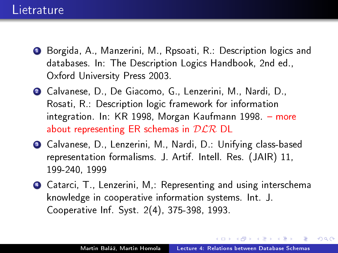#### **Lietrature**

- <sup>1</sup> Borgida, A., Manzerini, M., Rpsoati, R.: Description logics and databases. In: The Description Logics Handbook, 2nd ed., Oxford University Press 2003.
- <sup>2</sup> Calvanese, D., De Giacomo, G., Lenzerini, M., Nardi, D., Rosati, R.: Description logic framework for information integration. In: KR 1998, Morgan Kaufmann 1998. more about representing ER schemas in  $D\mathcal{LR}$  DL
- <sup>3</sup> Calvanese, D., Lenzerini, M., Nardi, D.: Unifying class-based representation formalisms. J. Artif. Intell. Res. (JAIR) 11, 199-240, 1999
- <sup>4</sup> Catarci, T., Lenzerini, M,: Representing and using interschema knowledge in cooperative information systems. Int. J. Cooperative Inf. Syst. 2(4), 375-398, 1993.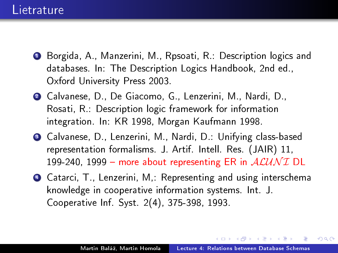- <sup>1</sup> Borgida, A., Manzerini, M., Rpsoati, R.: Description logics and databases. In: The Description Logics Handbook, 2nd ed., Oxford University Press 2003.
- <sup>2</sup> Calvanese, D., De Giacomo, G., Lenzerini, M., Nardi, D., Rosati, R.: Description logic framework for information integration. In: KR 1998, Morgan Kaufmann 1998.
- <sup>3</sup> Calvanese, D., Lenzerini, M., Nardi, D.: Unifying class-based representation formalisms. J. Artif. Intell. Res. (JAIR) 11, 199-240, 1999 – more about representing ER in  $ALUNI$  DL
- <sup>4</sup> Catarci, T., Lenzerini, M,: Representing and using interschema knowledge in cooperative information systems. Int. J. Cooperative Inf. Syst. 2(4), 375-398, 1993.

 $\Omega$